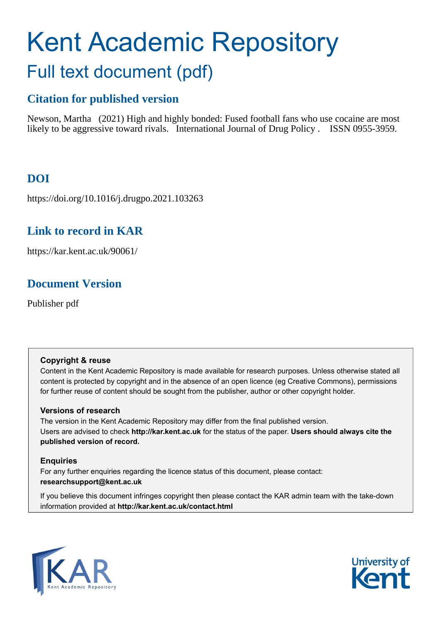# Kent Academic Repository Full text document (pdf)

# **Citation for published version**

Newson, Martha (2021) High and highly bonded: Fused football fans who use cocaine are most likely to be aggressive toward rivals. International Journal of Drug Policy . ISSN 0955-3959.

# **DOI**

https://doi.org/10.1016/j.drugpo.2021.103263

# **Link to record in KAR**

https://kar.kent.ac.uk/90061/

# **Document Version**

Publisher pdf

### **Copyright & reuse**

Content in the Kent Academic Repository is made available for research purposes. Unless otherwise stated all content is protected by copyright and in the absence of an open licence (eg Creative Commons), permissions for further reuse of content should be sought from the publisher, author or other copyright holder.

### **Versions of research**

The version in the Kent Academic Repository may differ from the final published version. Users are advised to check **http://kar.kent.ac.uk** for the status of the paper. **Users should always cite the published version of record.**

### **Enquiries**

For any further enquiries regarding the licence status of this document, please contact: **researchsupport@kent.ac.uk**

If you believe this document infringes copyright then please contact the KAR admin team with the take-down information provided at **http://kar.kent.ac.uk/contact.html**



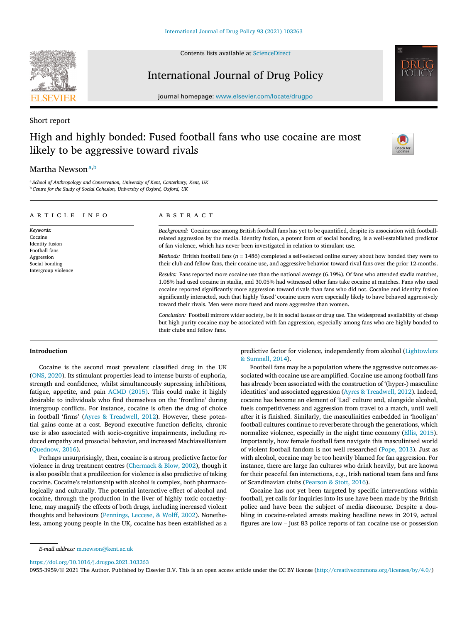#### Contents lists available at [ScienceDirect](http://www.ScienceDirect.com)

## International Journal of Drug Policy



journal homepage: [www.elsevier.com/locate/drugpo](http://www.elsevier.com/locate/drugpo)

#### Short report

# High and highly bonded: Fused football fans who use cocaine are most likely to be aggressive toward rivals

their clubs and fellow fans.



### Martha Newson<sup>a,b</sup>

<sup>a</sup> *School of Anthropology and Conservation, University of Kent, Canterbury, Kent, UK* <sup>b</sup> *Centre for the Study of Social Cohesion, University of Oxford, Oxford, UK*

| ARTICLE INFO                                                                                                    | ABSTRACT                                                                                                                                                                                                                                                                                                                                                                                                                                                                                                                                                                                                                                                                                                                       |  |  |  |  |
|-----------------------------------------------------------------------------------------------------------------|--------------------------------------------------------------------------------------------------------------------------------------------------------------------------------------------------------------------------------------------------------------------------------------------------------------------------------------------------------------------------------------------------------------------------------------------------------------------------------------------------------------------------------------------------------------------------------------------------------------------------------------------------------------------------------------------------------------------------------|--|--|--|--|
| Keywords:<br>Cocaine<br>Identity fusion<br>Football fans<br>Aggression<br>Social bonding<br>Intergroup violence | Background: Cocaine use among British football fans has yet to be quantified, despite its association with football-<br>related aggression by the media. Identity fusion, a potent form of social bonding, is a well-established predictor<br>of fan violence, which has never been investigated in relation to stimulant use.                                                                                                                                                                                                                                                                                                                                                                                                 |  |  |  |  |
|                                                                                                                 | <i>Methods:</i> British football fans ( $n = 1486$ ) completed a self-selected online survey about how bonded they were to<br>their club and fellow fans, their cocaine use, and aggressive behavior toward rival fans over the prior 12-months.<br>Results: Fans reported more cocaine use than the national average (6.19%). Of fans who attended stadia matches,<br>1.08% had used cocaine in stadia, and 30.05% had witnessed other fans take cocaine at matches. Fans who used<br>cocaine reported significantly more aggression toward rivals than fans who did not. Cocaine and identity fusion<br>significantly interacted, such that highly 'fused' cocaine users were especially likely to have behaved aggressively |  |  |  |  |
|                                                                                                                 | toward their rivals. Men were more fused and more aggressive than women.<br>Conclusion: Football mirrors wider society, be it in social issues or drug use. The widespread availability of cheap<br>but high purity cocaine may be associated with fan aggression, especially among fans who are highly bonded to                                                                                                                                                                                                                                                                                                                                                                                                              |  |  |  |  |

#### **Introduction**

Cocaine is the second most prevalent classified drug in the UK (ONS, 2020). Its stimulant properties lead to intense bursts of euphoria, strength and confidence, whilst simultaneously supressing inhibitions, fatigue, appetite, and pain ACMD (2015). This could make it highly desirable to individuals who find themselves on the 'frontline' during intergroup conflicts. For instance, cocaine is often the drug of choice in football 'firms' (Ayres & Treadwell, 2012). However, these potential gains come at a cost. Beyond executive function deficits, chronic use is also associated with socio-cognitive impairments, including reduced empathy and prosocial behavior, and increased Machiavellianism (Quednow, 2016).

Perhaps unsurprisingly, then, cocaine is a strong predictive factor for violence in drug treatment centres (Chermack & Blow, 2002), though it is also possible that a predilection for violence is also predictive of taking cocaine. Cocaine's relationship with alcohol is complex, both pharmacologically and culturally. The potential interactive effect of alcohol and cocaine, through the production in the liver of highly toxic cocaethylene, may magnify the effects of both drugs, including increased violent thoughts and behaviours (Pennings, Leccese, & Wolff, 2002). Nonetheless, among young people in the UK, cocaine has been established as a predictive factor for violence, independently from alcohol (Lightowlers & Sumnall, 2014).

Football fans may be a population where the aggressive outcomes associated with cocaine use are amplified. Cocaine use among football fans has already been associated with the construction of '(hyper-) masculine identities' and associated aggression (Ayres & Treadwell, 2012). Indeed, cocaine has become an element of 'Lad' culture and, alongside alcohol, fuels competitiveness and aggression from travel to a match, until well after it is finished. Similarly, the masculinities embedded in 'hooligan' football cultures continue to reverberate through the generations, which normalize violence, especially in the night time economy (Ellis, 2015). Importantly, how female football fans navigate this masculinised world of violent football fandom is not well researched (Pope, 2013). Just as with alcohol, cocaine may be too heavily blamed for fan aggression. For instance, there are large fan cultures who drink heavily, but are known for their peaceful fan interactions, e.g., Irish national team fans and fans of Scandinavian clubs (Pearson & Stott, 2016).

Cocaine has not yet been targeted by specific interventions within football, yet calls for inquiries into its use have been made by the British police and have been the subject of media discourse. Despite a doubling in cocaine-related arrests making headline news in 2019, actual figures are low – just 83 police reports of fan cocaine use or possession

<https://doi.org/10.1016/j.drugpo.2021.103263>

0955-3959/© 2021 The Author. Published by Elsevier B.V. This is an open access article under the CC BY license [\(http://creativecommons.org/licenses/by/4.0/\)](http://creativecommons.org/licenses/by/4.0/)

*E-mail address:* [m.newson@kent.ac.uk](mailto:m.newson@kent.ac.uk)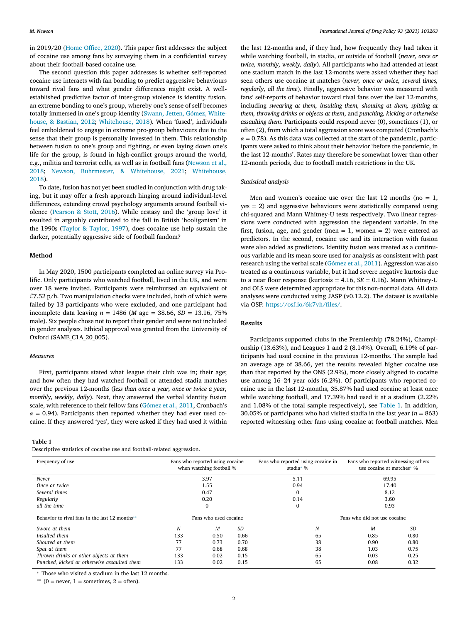in 2019/20 (Home Office, 2020). This paper first addresses the subject of cocaine use among fans by surveying them in a confidential survey about their football-based cocaine use.

The second question this paper addresses is whether self-reported cocaine use interacts with fan bonding to predict aggressive behaviours toward rival fans and what gender differences might exist. A wellestablished predictive factor of inter-group violence is identity fusion, an extreme bonding to one's group, whereby one's sense of self becomes totally immersed in one's group identity (Swann, Jetten, Gómez, Whitehouse, & Bastian, 2012; Whitehouse, 2018). When 'fused', individuals feel emboldened to engage in extreme pro-group behaviours due to the sense that their group is personally invested in them. This relationship between fusion to one's group and fighting, or even laying down one's life for the group, is found in high-conflict groups around the world, e.g., militia and terrorist cells, as well as in football fans (Newson et al., 2018; Newson, Buhrmester, & Whitehouse, 2021; Whitehouse, 2018).

To date, fusion has not yet been studied in conjunction with drug taking, but it may offer a fresh approach hinging around individual-level differences, extending crowd psychology arguments around football violence (Pearson & Stott, 2016). While ecstasy and the 'group love' it resulted in arguably contributed to the fall in British 'hooliganism' in the 1990s (Taylor & Taylor, 1997), does cocaine use help sustain the darker, potentially aggressive side of football fandom?

#### **Method**

In May 2020, 1500 participants completed an online survey via Prolific. Only participants who watched football, lived in the UK, and were over 18 were invited. Participants were reimbursed an equivalent of £7.52 p/h. Two manipulation checks were included, both of which were failed by 13 participants who were excluded, and one participant had incomplete data leaving  $n = 1486$  (*M* age = 38.66, *SD* = 13.16, 75% male). Six people chose not to report their gender and were not included in gender analyses. Ethical approval was granted from the University of Oxford (SAME\_C1A\_20\_005).

#### *Measures*

First, participants stated what league their club was in; their age; and how often they had watched football or attended stadia matches over the previous 12-months (*less than once a year, once or twice a year, monthly, weekly, daily*). Next, they answered the verbal identity fusion scale, with reference to their fellow fans (Gómez et al., 2011, Cronbach's  $\alpha$  = 0.94). Participants then reported whether they had ever used cocaine. If they answered 'yes', they were asked if they had used it within

#### **Table 1**

Descriptive statistics of cocaine use and football-related aggression.

the last 12-months and, if they had, how frequently they had taken it while watching football, in stadia, or outside of football (*never, once or twice, monthly, weekly, daily*). All participants who had attended at least one stadium match in the last 12-months were asked whether they had seen others use cocaine at matches (*never, once or twice, several times, regularly, all the time*). Finally, aggressive behavior was measured with fans' self-reports of behavior toward rival fans over the last 12-months, including *swearing at them, insulting them, shouting at them, spitting at them, throwing drinks or objects at them*, and *punching, kicking or otherwise assaulting them*. Participants could respond never (0), sometimes (1), or often (2), from which a total aggression score was computed (Cronbach's  $\alpha$  = 0.78). As this data was collected at the start of the pandemic, participants were asked to think about their behavior 'before the pandemic, in the last 12-months'. Rates may therefore be somewhat lower than other 12-month periods, due to football match restrictions in the UK.

#### *Statistical analysis*

Men and women's cocaine use over the last 12 months ( $no = 1$ , yes = 2) and aggressive behaviours were statistically compared using chi-squared and Mann Whitney-U tests respectively. Two linear regressions were conducted with aggression the dependent variable. In the first, fusion, age, and gender (men  $= 1$ , women  $= 2$ ) were entered as predictors. In the second, cocaine use and its interaction with fusion were also added as predictors. Identity fusion was treated as a continuous variable and its mean score used for analysis as consistent with past research using the verbal scale (Gómez et al., 2011). Aggression was also treated as a continuous variable, but it had severe negative kurtosis due to a near floor response (kurtosis =  $4.16$ ,  $SE = 0.16$ ). Mann Whitney-U and OLS were determined appropriate for this non-normal data. All data analyses were conducted using JASP (v0.12.2). The dataset is available via OSF: [https://osf.io/6k7vh/files/.](https://osf.io/6k7vh/files/)

#### **Results**

Participants supported clubs in the Premiership (78.24%), Championship (13.63%), and Leagues 1 and 2 (8.14%). Overall, 6.19% of participants had used cocaine in the previous 12-months. The sample had an average age of 38.66, yet the results revealed higher cocaine use than that reported by the ONS (2.9%), more closely aligned to cocaine use among 16–24 year olds (6.2%). Of participants who reported cocaine use in the last 12-months, 35.87% had used cocaine at least once while watching football, and 17.39% had used it at a stadium (2.22% and 1.08% of the total sample respectively), see Table 1. In addition, 30.05% of participants who had visited stadia in the last year  $(n = 863)$ reported witnessing other fans using cocaine at football matches. Men

| Frequency of use                               | Fans who reported using cocaine<br>when watching football % |      |           | Fans who reported using cocaine in<br>stadia* % | Fans who reported witnessing others<br>use cocaine at matches* % |           |  |
|------------------------------------------------|-------------------------------------------------------------|------|-----------|-------------------------------------------------|------------------------------------------------------------------|-----------|--|
| Never                                          | 3.97                                                        |      |           | 5.11                                            | 69.95                                                            |           |  |
| Once or twice                                  | 1.55                                                        |      |           | 0.94                                            | 17.40                                                            |           |  |
| Several times                                  | 0.47                                                        |      |           | $\boldsymbol{0}$                                | 8.12                                                             |           |  |
| Regularly                                      | 0.20                                                        |      |           | 0.14                                            | 3.60                                                             |           |  |
| all the time                                   | 0                                                           |      |           | $\Omega$                                        | 0.93                                                             |           |  |
| Behavior to rival fans in the last 12 months** | Fans who used cocaine                                       |      |           |                                                 | Fans who did not use cocaine                                     |           |  |
| Swore at them                                  | N                                                           | M    | <b>SD</b> | N                                               | M                                                                | <b>SD</b> |  |
| Insulted them                                  | 133                                                         | 0.50 | 0.66      | 65                                              | 0.85                                                             | 0.80      |  |
| Shouted at them                                | 77                                                          | 0.73 | 0.70      | 38                                              | 0.90                                                             | 0.80      |  |
| Spat at them                                   | 77                                                          | 0.68 | 0.68      | 38                                              | 1.03                                                             | 0.75      |  |
| Thrown drinks or other objects at them         | 133                                                         | 0.02 | 0.15      | 65                                              | 0.03                                                             | 0.25      |  |
| Punched, kicked or otherwise assaulted them    | 133                                                         | 0.02 | 0.15      | 65                                              | 0.08                                                             | 0.32      |  |

<sup>∗</sup> Those who visited a stadium in the last 12 months.

 $*$  (0 = never, 1 = sometimes, 2 = often).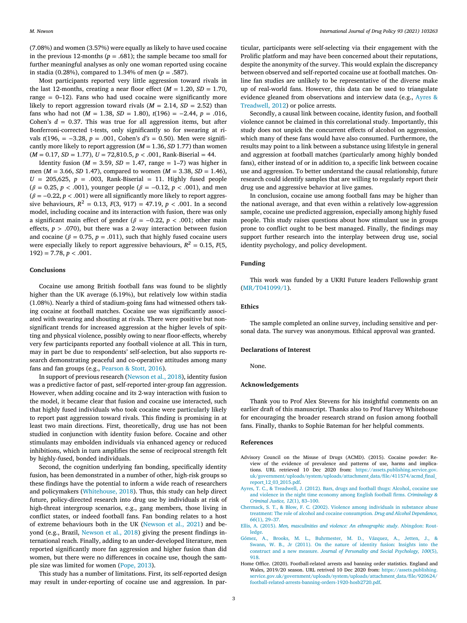(7.08%) and women (3.57%) were equally as likely to have used cocaine in the previous 12-months ( $p = .681$ ); the sample became too small for further meaningful analyses as only one woman reported using cocaine in stadia (0.28%), compared to 1.34% of men ( $p = .587$ ).

Most participants reported very little aggression toward rivals in the last 12-months, creating a near floor effect  $(M = 1.20, SD = 1.70,$ range  $= 0-12$ ). Fans who had used cocaine were significantly more likely to report aggression toward rivals  $(M = 2.14, SD = 2.52)$  than fans who had not ( $M = 1.38$ ,  $SD = 1.80$ ),  $t(196) = -2.44$ ,  $p = .016$ , Cohen's  $d = 0.37$ . This was true for all aggression items, but after Bonferroni-corrected t-tests, only significantly so for swearing at rivals *t*(196, = −3.28, *p* = .001, Cohen's *d's* = 0.50). Men were significantly more likely to report aggression (*M* = 1.36, *SD* 1.77) than women (*M* = 0.17, *SD* = 1.77), *U* = 72,810.5, *p <* .001, Rank-Biserial = 44.

Identity fusion ( $M = 3.59$ ,  $SD = 1.47$ , range = 1–7) was higher in men (*M* = 3.66, *SD* 1.47), compared to women (*M* = 3.38, *SD* = 1.46),  $U = 205,625, p = .003, Rank-Biserial = 11. Highly fused people$  $(\beta = 0.25, p < .001)$ , younger people  $(\beta = -0.12, p < .001)$ , and men  $(\beta = -0.22, p < .001)$  were all significantly more likely to report aggressive behaviours,  $R^2 = 0.13$ ,  $F(3, 917) = 47.19$ ,  $p < .001$ . In a second model, including cocaine and its interaction with fusion, there was only a significant main effect of gender ( $\beta$  = -0.22,  $p$  < .001; other main effects,  $p > .070$ ), but there was a 2-way interaction between fusion and cocaine ( $\beta = 0.75$ ,  $p = .011$ ), such that highly fused cocaine users were especially likely to report aggressive behaviours,  $R^2 = 0.15$ ,  $F(5)$ ,  $192$ ) = 7.78,  $p < .001$ .

#### **Conclusions**

Cocaine use among British football fans was found to be slightly higher than the UK average (6.19%), but relatively low within stadia (1.08%). Nearly a third of stadium-going fans had witnessed others taking cocaine at football matches. Cocaine use was significantly associated with swearing and shouting at rivals. There were positive but nonsignificant trends for increased aggression at the higher levels of spitting and physical violence, possibly owing to near floor-effects, whereby very few participants reported any football violence at all. This in turn, may in part be due to respondents' self-selection, but also supports research demonstrating peaceful and co-operative attitudes among many fans and fan groups (e.g., Pearson & Stott, 2016).

In support of previous research (Newson et al., 2018), identity fusion was a predictive factor of past, self-reported inter-group fan aggression. However, when adding cocaine and its 2-way interaction with fusion to the model, it became clear that fusion and cocaine use interacted, such that highly fused individuals who took cocaine were particularly likely to report past aggression toward rivals. This finding is promising in at least two main directions. First, theoretically, drug use has not been studied in conjunction with identity fusion before. Cocaine and other stimulants may embolden individuals via enhanced agency or reduced inhibitions, which in turn amplifies the sense of reciprocal strength felt by highly-fused, bonded individuals.

Second, the cognition underlying fan bonding, specifically identity fusion, has been demonstrated in a number of other, high-risk groups so these findings have the potential to inform a wide reach of researchers and policymakers (Whitehouse, 2018). Thus, this study can help direct future, policy-directed research into drug use by individuals at risk of high-threat intergroup scenarios, e.g., gang members, those living in conflict states, or indeed football fans. Fan bonding relates to a host of extreme behaviours both in the UK (Newson et al., 2021) and beyond (e.g., Brazil, Newson et al., 2018) giving the present findings international reach. Finally, adding to an under-developed literature, men reported significantly more fan aggression and higher fusion than did women, but there were no differences in cocaine use, though the sample size was limited for women (Pope, 2013).

This study has a number of limitations. First, its self-reported design may result in under-reporting of cocaine use and aggression. In particular, participants were self-selecting via their engagement with the Prolific platform and may have been concerned about their reputations, despite the anonymity of the survey. This would explain the discrepancy between observed and self-reported cocaine use at football matches. Online fan studies are unlikely to be representative of the diverse make up of real-world fans. However, this data can be used to triangulate evidence gleaned from observations and interview data (e.g., Ayres & Treadwell, 2012) or police arrests.

Secondly, a causal link between cocaine, identity fusion, and football violence cannot be claimed in this correlational study. Importantly, this study does not unpick the concurrent effects of alcohol on aggression, which many of these fans would have also consumed. Furthermore, the results may point to a link between a substance using lifestyle in general and aggression at football matches (particularly among highly bonded fans), either instead of or in addition to, a specific link between cocaine use and aggression. To better understand the causal relationship, future research could identify samples that are willing to regularly report their drug use and aggressive behavior at live games.

In conclusion, cocaine use among football fans may be higher than the national average, and that even within a relatively low-aggression sample, cocaine use predicted aggression, especially among highly fused people. This study raises questions about how stimulant use in groups prone to conflict ought to be best managed. Finally, the findings may support further research into the interplay between drug use, social identity psychology, and policy development.

#### **Funding**

This work was funded by a UKRI Future leaders Fellowship grant (MR/T041099/1).

#### **Ethics**

The sample completed an online survey, including sensitive and personal data. The survey was anonymous. Ethical approval was granted.

#### **Declarations of Interest**

None.

#### **Acknowledgements**

Thank you to Prof Alex Stevens for his insightful comments on an earlier draft of this manuscript. Thanks also to Prof Harvey Whitehouse for encouraging the broader research strand on fusion among football fans. Finally, thanks to Sophie Bateman for her helpful comments.

#### **References**

- Advisory Council on the Misuse of Drugs (ACMD). (2015). Cocaine powder: Review of the evidence of prevalence and patterns of use, harms and implications. URL retrieved 10 Dec 2020 from: https://assets.publishing.service.gov. [uk/government/uploads/system/uploads/attachment\\_data/file/411574/acmd\\_final\\_](https://assets.publishing.service.gov.uk/government/uploads/system/uploads/attachment_data/file/411574/acmd_final_report_12_03_2015.pdf) report\_12\_03\_2015.pdf.
- [Ayres,](http://refhub.elsevier.com/S0955-3959(21)00168-7/sbref0002) T. C., [&](http://refhub.elsevier.com/S0955-3959(21)00168-7/sbref0002) [Treadwell,](http://refhub.elsevier.com/S0955-3959(21)00168-7/sbref0002) J. (2012). Bars, drugs and football thugs: Alcohol, cocaine use and violence in the night time economy among English football firms. *[Criminology](http://refhub.elsevier.com/S0955-3959(21)00168-7/sbref0002) & Criminal Justice, 12*(1), 83–100.
- [Chermack,](http://refhub.elsevier.com/S0955-3959(21)00168-7/sbref0003) S. T., [&](http://refhub.elsevier.com/S0955-3959(21)00168-7/sbref0003) [Blow,](http://refhub.elsevier.com/S0955-3959(21)00168-7/sbref0003) F. C. (2002). Violence among individuals in substance abuse treatment: The role of alcohol and cocaine [consumption.](http://refhub.elsevier.com/S0955-3959(21)00168-7/sbref0003) *Drug and Alcohol Dependence, 66*(1), 29–37.
- [Ellis,](http://refhub.elsevier.com/S0955-3959(21)00168-7/sbref0004) A. (2015). *Men, masculinities and violence: An [ethnographic](http://refhub.elsevier.com/S0955-3959(21)00168-7/sbref0004) study*. Abingdon: Routledge.
- [Gómez,](http://refhub.elsevier.com/S0955-3959(21)00168-7/sbref0005) A., [Brooks,](http://refhub.elsevier.com/S0955-3959(21)00168-7/sbref0005) M. L., [Buhrmester,](http://refhub.elsevier.com/S0955-3959(21)00168-7/sbref0005) M. D., [Vázquez,](http://refhub.elsevier.com/S0955-3959(21)00168-7/sbref0005) A., [Jetten,](http://refhub.elsevier.com/S0955-3959(21)00168-7/sbref0005) J., [&](http://refhub.elsevier.com/S0955-3959(21)00168-7/sbref0005) [Swann,](http://refhub.elsevier.com/S0955-3959(21)00168-7/sbref0005) W. B., Jr (2011). On the nature of identity fusion: Insights into the construct and a new measure. *Journal of Personality and Social [Psychology,](http://refhub.elsevier.com/S0955-3959(21)00168-7/sbref0005) 100*(5), 918.
- Home Office. (2020). Football-related arrests and banning order statistics. England and Wales, 2019/20 season. URL retrived 10 Dec 2020 from: https://assets.publishing. [service.gov.uk/government/uploads/system/uploads/attachment\\_data/file/920624/](https://assets.publishing.service.gov.uk/government/uploads/system/uploads/attachment_data/file/920624/football-related-arrests-banning-orders-1920-hosb2720.pdf) football-related-arrests-banning-orders-1920-hosb2720.pdf.